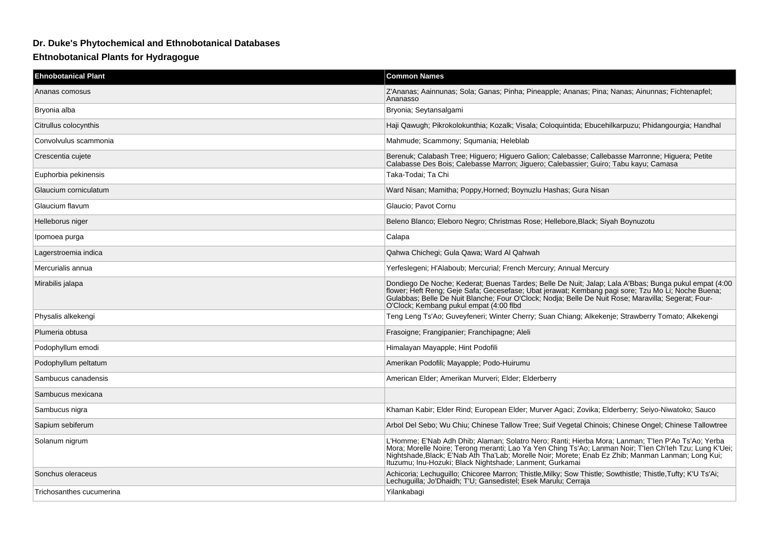## **Dr. Duke's Phytochemical and Ethnobotanical Databases**

## **Ehtnobotanical Plants for Hydragogue**

| <b>Ehnobotanical Plant</b> | <b>Common Names</b>                                                                                                                                                                                                                                                                                                                                                             |
|----------------------------|---------------------------------------------------------------------------------------------------------------------------------------------------------------------------------------------------------------------------------------------------------------------------------------------------------------------------------------------------------------------------------|
| Ananas comosus             | Z'Ananas; Aainnunas; Sola; Ganas; Pinha; Pineapple; Ananas; Pina; Nanas; Ainunnas; Fichtenapfel;<br>Ananasso                                                                                                                                                                                                                                                                    |
| Bryonia alba               | Bryonia; Seytansalgami                                                                                                                                                                                                                                                                                                                                                          |
| Citrullus colocynthis      | Haji Qawugh; Pikrokolokunthia; Kozalk; Visala; Cologuintida; Ebucehilkarpuzu; Phidangourgia; Handhal                                                                                                                                                                                                                                                                            |
| Convolvulus scammonia      | Mahmude; Scammony; Squmania; Heleblab                                                                                                                                                                                                                                                                                                                                           |
| Crescentia cujete          | Berenuk; Calabash Tree; Higuero; Higuero Galion; Calebasse; Callebasse Marronne; Higuera; Petite<br>Calabasse Des Bois; Calebasse Marron; Jiguero; Calebassier; Guiro; Tabu kayu; Camasa                                                                                                                                                                                        |
| Euphorbia pekinensis       | Taka-Todai; Ta Chi                                                                                                                                                                                                                                                                                                                                                              |
| Glaucium corniculatum      | Ward Nisan; Mamitha; Poppy, Horned; Boynuzlu Hashas; Gura Nisan                                                                                                                                                                                                                                                                                                                 |
| Glaucium flavum            | Glaucio: Pavot Cornu                                                                                                                                                                                                                                                                                                                                                            |
| Helleborus niger           | Beleno Blanco; Eleboro Negro; Christmas Rose; Hellebore, Black; Siyah Boynuzotu                                                                                                                                                                                                                                                                                                 |
| Ipomoea purga              | Calapa                                                                                                                                                                                                                                                                                                                                                                          |
| Lagerstroemia indica       | Qahwa Chichegi; Gula Qawa; Ward Al Qahwah                                                                                                                                                                                                                                                                                                                                       |
| Mercurialis annua          | Yerfeslegeni; H'Alaboub; Mercurial; French Mercury; Annual Mercury                                                                                                                                                                                                                                                                                                              |
| Mirabilis jalapa           | Dondiego De Noche; Kederat; Buenas Tardes; Belle De Nuit; Jalap; Lala A'Bbas; Bunga pukul empat (4:00<br>flower; Heft Reng; Geje Safa; Gecesefase; Ubat jerawat; Kembang pagi sore; Tzu Mo Li; Noche Buena;<br>Gulabbas; Belle De Nuit Blanche; Four O'Clock; Nodja; Belle De Nuit Rose; Maravilla; Segerat; Four-<br>O'Clock; Kembang pukul empat (4:00 flbd                   |
| Physalis alkekengi         | Teng Leng Ts'Ao; Guveyfeneri; Winter Cherry; Suan Chiang; Alkekenje; Strawberry Tomato; Alkekengi                                                                                                                                                                                                                                                                               |
| Plumeria obtusa            | Frasoigne; Frangipanier; Franchipagne; Aleli                                                                                                                                                                                                                                                                                                                                    |
| Podophyllum emodi          | Himalayan Mayapple; Hint Podofili                                                                                                                                                                                                                                                                                                                                               |
| Podophyllum peltatum       | Amerikan Podofili; Mayapple; Podo-Huirumu                                                                                                                                                                                                                                                                                                                                       |
| Sambucus canadensis        | American Elder; Amerikan Murveri; Elder; Elderberry                                                                                                                                                                                                                                                                                                                             |
| Sambucus mexicana          |                                                                                                                                                                                                                                                                                                                                                                                 |
| Sambucus nigra             | Khaman Kabir; Elder Rind; European Elder; Murver Agaci; Zovika; Elderberry; Seiyo-Niwatoko; Sauco                                                                                                                                                                                                                                                                               |
| Sapium sebiferum           | Arbol Del Sebo; Wu Chiu; Chinese Tallow Tree; Suif Vegetal Chinois; Chinese Ongel; Chinese Tallowtree                                                                                                                                                                                                                                                                           |
| Solanum nigrum             | L'Homme; E'Nab Adh Dhib; Alaman; Solatro Nero; Ranti; Hierba Mora; Lanman; T'len P'Ao Ts'Ao; Yerba<br>Mora; Morelle Noire; Terong meranti; Lao Ya Yen Ching Ts'Ao; Lanman Noir; T'len Ch'leh Tzu; Lung K'Uei;<br>Nightshade, Black; E'Nab Ath Tha'Lab; Morelle Noir; Morete; Enab Ez Zhib; Manman Lanman; Long Kui;<br>Ituzumu; Inu-Hozuki; Black Nightshade; Lanment; Gurkamai |
| Sonchus oleraceus          | Achicoria; Lechuquillo; Chicoree Marron; Thistle, Milky; Sow Thistle; Sowthistle; Thistle, Tufty; K'U Ts'Ai;<br>Lechuguilla; Jo'Dhaidh; T'U; Gansedistel; Esek Marulu; Cerraja                                                                                                                                                                                                  |
| Trichosanthes cucumerina   | Yilankabagi                                                                                                                                                                                                                                                                                                                                                                     |